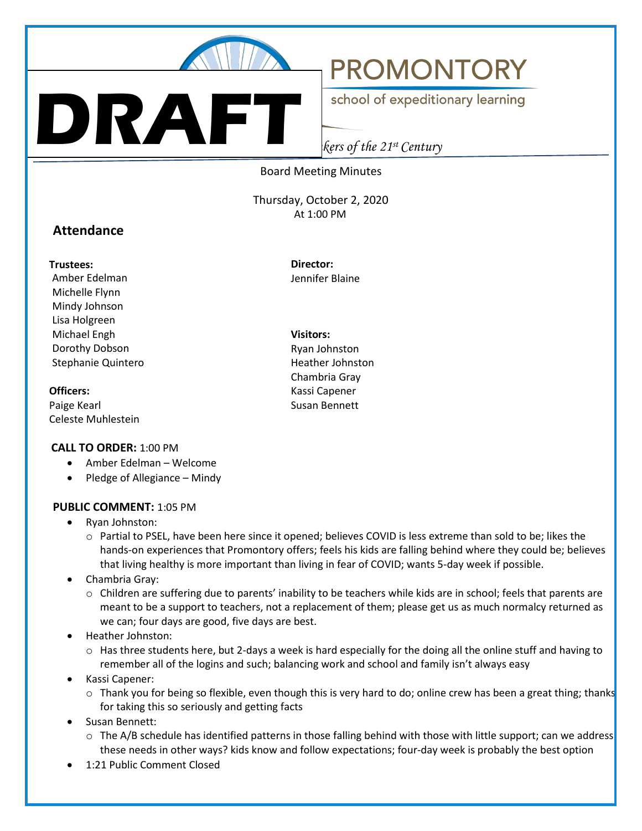

**DRAFT**

# **PROMONTORY**

school of expeditionary learning

*Creating the Great Thinkers of the 21st Century*

#### Board Meeting Minutes

Thursday, October 2, 2020 At 1:00 PM

## **Attendance**

#### **Trustees:**

Amber Edelman Michelle Flynn Mindy Johnson Lisa Holgreen Michael Engh Dorothy Dobson Stephanie Quintero

#### **Officers:**

Paige Kearl Celeste Muhlestein

#### **CALL TO ORDER:** 1:00 PM

- Amber Edelman Welcome
- Pledge of Allegiance Mindy

#### **PUBLIC COMMENT:** 1:05 PM

- Ryan Johnston:
	- o Partial to PSEL, have been here since it opened; believes COVID is less extreme than sold to be; likes the hands-on experiences that Promontory offers; feels his kids are falling behind where they could be; believes that living healthy is more important than living in fear of COVID; wants 5-day week if possible.
- Chambria Gray:
	- o Children are suffering due to parents' inability to be teachers while kids are in school; feels that parents are meant to be a support to teachers, not a replacement of them; please get us as much normalcy returned as we can; four days are good, five days are best.
- Heather Johnston:
	- $\circ$  Has three students here, but 2-days a week is hard especially for the doing all the online stuff and having to remember all of the logins and such; balancing work and school and family isn't always easy
- Kassi Capener:
	- $\circ$  Thank you for being so flexible, even though this is very hard to do; online crew has been a great thing; thanks for taking this so seriously and getting facts
- Susan Bennett:
	- $\circ$  The A/B schedule has identified patterns in those falling behind with those with little support; can we address these needs in other ways? kids know and follow expectations; four-day week is probably the best option
- 1:21 Public Comment Closed

Jennifer Blaine

**Visitors:**

**Director:**

Ryan Johnston Heather Johnston Chambria Gray Kassi Capener Susan Bennett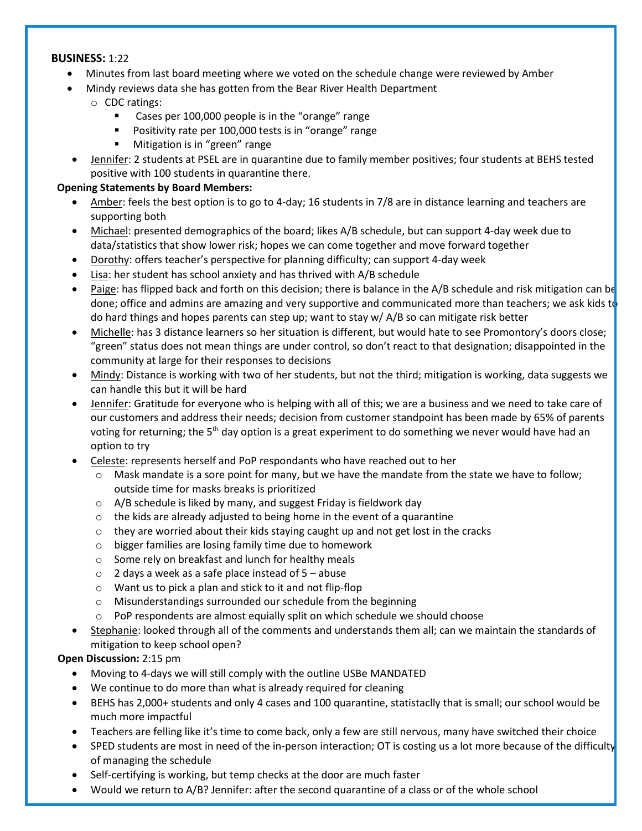#### **BUSINESS:** 1:22

- Minutes from last board meeting where we voted on the schedule change were reviewed by Amber
- Mindy reviews data she has gotten from the Bear River Health Department

## o CDC ratings:

- **EXEC** Cases per 100,000 people is in the "orange" range
- **Positivity rate per 100,000 tests is in "orange" range**
- **Mitigation is in "green" range**
- Jennifer: 2 students at PSEL are in quarantine due to family member positives; four students at BEHS tested positive with 100 students in quarantine there.

## **Opening Statements by Board Members:**

- Amber: feels the best option is to go to 4-day; 16 students in 7/8 are in distance learning and teachers are supporting both
- Michael: presented demographics of the board; likes A/B schedule, but can support 4-day week due to data/statistics that show lower risk; hopes we can come together and move forward together
- Dorothy: offers teacher's perspective for planning difficulty; can support 4-day week
- Lisa: her student has school anxiety and has thrived with A/B schedule
- Paige: has flipped back and forth on this decision; there is balance in the A/B schedule and risk mitigation can be done; office and admins are amazing and very supportive and communicated more than teachers; we ask kids to do hard things and hopes parents can step up; want to stay w/ A/B so can mitigate risk better
- Michelle: has 3 distance learners so her situation is different, but would hate to see Promontory's doors close; "green" status does not mean things are under control, so don't react to that designation; disappointed in the community at large for their responses to decisions
- Mindy: Distance is working with two of her students, but not the third; mitigation is working, data suggests we can handle this but it will be hard
- Jennifer: Gratitude for everyone who is helping with all of this; we are a business and we need to take care of our customers and address their needs; decision from customer standpoint has been made by 65% of parents voting for returning; the 5<sup>th</sup> day option is a great experiment to do something we never would have had an option to try
- Celeste: represents herself and PoP respondants who have reached out to her
	- $\circ$  Mask mandate is a sore point for many, but we have the mandate from the state we have to follow; outside time for masks breaks is prioritized
	- o A/B schedule is liked by many, and suggest Friday is fieldwork day
	- $\circ$  the kids are already adjusted to being home in the event of a quarantine
	- $\circ$  they are worried about their kids staying caught up and not get lost in the cracks
	- o bigger families are losing family time due to homework
	- o Some rely on breakfast and lunch for healthy meals
	- $\circ$  2 days a week as a safe place instead of 5 abuse
	- o Want us to pick a plan and stick to it and not flip-flop
	- o Misunderstandings surrounded our schedule from the beginning
	- o PoP respondents are almost equially split on which schedule we should choose
- Stephanie: looked through all of the comments and understands them all; can we maintain the standards of mitigation to keep school open?

## **Open Discussion:** 2:15 pm

- Moving to 4-days we will still comply with the outline USBe MANDATED
- We continue to do more than what is already required for cleaning
- BEHS has 2,000+ students and only 4 cases and 100 quarantine, statistaclly that is small; our school would be much more impactful
- Teachers are felling like it's time to come back, only a few are still nervous, many have switched their choice
- SPED students are most in need of the in-person interaction; OT is costing us a lot more because of the difficulty of managing the schedule
- Self-certifying is working, but temp checks at the door are much faster
- Would we return to A/B? Jennifer: after the second quarantine of a class or of the whole school